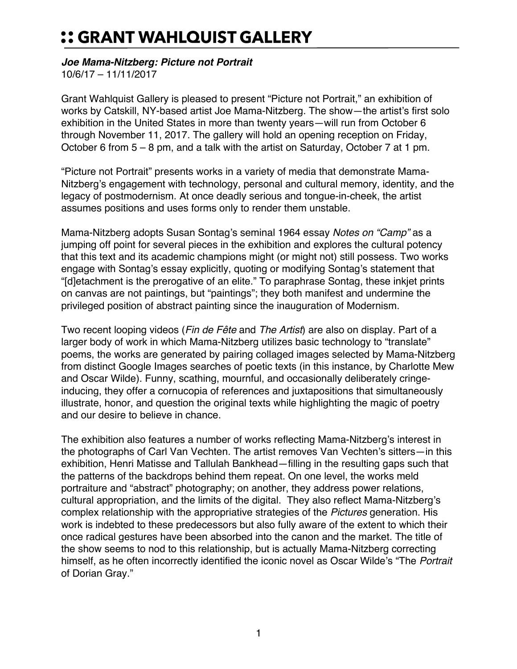## :: GRANT WAHLQUIST GALLERY

## *Joe Mama-Nitzberg: Picture not Portrait*

10/6/17 – 11/11/2017

Grant Wahlquist Gallery is pleased to present "Picture not Portrait," an exhibition of works by Catskill, NY-based artist Joe Mama-Nitzberg. The show—the artist's first solo exhibition in the United States in more than twenty years—will run from October 6 through November 11, 2017. The gallery will hold an opening reception on Friday, October 6 from 5 – 8 pm, and a talk with the artist on Saturday, October 7 at 1 pm.

"Picture not Portrait" presents works in a variety of media that demonstrate Mama-Nitzberg's engagement with technology, personal and cultural memory, identity, and the legacy of postmodernism. At once deadly serious and tongue-in-cheek, the artist assumes positions and uses forms only to render them unstable.

Mama-Nitzberg adopts Susan Sontag's seminal 1964 essay *Notes on "Camp"* as a jumping off point for several pieces in the exhibition and explores the cultural potency that this text and its academic champions might (or might not) still possess. Two works engage with Sontag's essay explicitly, quoting or modifying Sontag's statement that "[d]etachment is the prerogative of an elite." To paraphrase Sontag, these inkjet prints on canvas are not paintings, but "paintings"; they both manifest and undermine the privileged position of abstract painting since the inauguration of Modernism.

Two recent looping videos (*Fin de Fête* and *The Artist*) are also on display. Part of a larger body of work in which Mama-Nitzberg utilizes basic technology to "translate" poems, the works are generated by pairing collaged images selected by Mama-Nitzberg from distinct Google Images searches of poetic texts (in this instance, by Charlotte Mew and Oscar Wilde). Funny, scathing, mournful, and occasionally deliberately cringeinducing, they offer a cornucopia of references and juxtapositions that simultaneously illustrate, honor, and question the original texts while highlighting the magic of poetry and our desire to believe in chance.

The exhibition also features a number of works reflecting Mama-Nitzberg's interest in the photographs of Carl Van Vechten. The artist removes Van Vechten's sitters—in this exhibition, Henri Matisse and Tallulah Bankhead—filling in the resulting gaps such that the patterns of the backdrops behind them repeat. On one level, the works meld portraiture and "abstract" photography; on another, they address power relations, cultural appropriation, and the limits of the digital. They also reflect Mama-Nitzberg's complex relationship with the appropriative strategies of the *Pictures* generation. His work is indebted to these predecessors but also fully aware of the extent to which their once radical gestures have been absorbed into the canon and the market. The title of the show seems to nod to this relationship, but is actually Mama-Nitzberg correcting himself, as he often incorrectly identified the iconic novel as Oscar Wilde's "The *Portrait* of Dorian Gray."